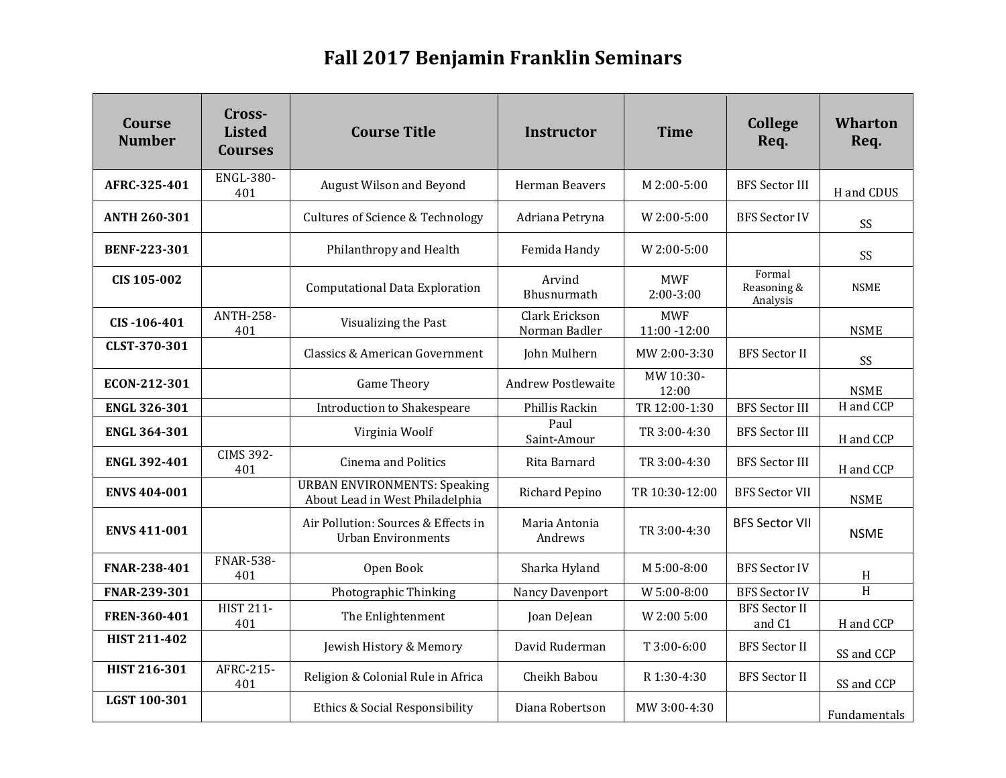## **Fall 2017 Benjamin Franklin Seminars**

| Course<br><b>Number</b> | Cross-<br><b>Listed</b><br><b>Courses</b> | <b>Course Title</b>                                                    | <b>Instructor</b>               | <b>Time</b>                   | <b>College</b><br>Req.            | <b>Wharton</b><br>Req. |
|-------------------------|-------------------------------------------|------------------------------------------------------------------------|---------------------------------|-------------------------------|-----------------------------------|------------------------|
| AFRC-325-401            | <b>ENGL-380-</b><br>401                   | August Wilson and Beyond                                               | Herman Beavers                  | M 2:00-5:00                   | <b>BFS Sector III</b>             | H and CDUS             |
| <b>ANTH 260-301</b>     |                                           | <b>Cultures of Science &amp; Technology</b>                            | Adriana Petryna                 | W 2:00-5:00                   | <b>BFS Sector IV</b>              | SS                     |
| <b>BENF-223-301</b>     |                                           | Philanthropy and Health                                                | Femida Handy                    | W 2:00-5:00                   |                                   | SS                     |
| CIS 105-002             |                                           | Computational Data Exploration                                         | Arvind<br>Bhusnurmath           | <b>MWF</b><br>$2:00-3:00$     | Formal<br>Reasoning &<br>Analysis | <b>NSME</b>            |
| CIS-106-401             | <b>ANTH-258-</b><br>401                   | Visualizing the Past                                                   | Clark Erickson<br>Norman Badler | <b>MWF</b><br>$11:00 - 12:00$ |                                   | <b>NSME</b>            |
| CLST-370-301            |                                           | Classics & American Government                                         | John Mulhern                    | MW 2:00-3:30                  | <b>BFS</b> Sector II              | SS                     |
| ECON-212-301            |                                           | <b>Game Theory</b>                                                     | <b>Andrew Postlewaite</b>       | MW 10:30-<br>12:00            |                                   | <b>NSME</b>            |
| <b>ENGL 326-301</b>     |                                           | Introduction to Shakespeare                                            | Phillis Rackin                  | TR 12:00-1:30                 | <b>BFS Sector III</b>             | H and CCP              |
| <b>ENGL 364-301</b>     |                                           | Virginia Woolf                                                         | Paul<br>Saint-Amour             | TR 3:00-4:30                  | <b>BFS Sector III</b>             | H and CCP              |
| <b>ENGL 392-401</b>     | <b>CIMS 392-</b><br>401                   | <b>Cinema and Politics</b>                                             | Rita Barnard                    | TR 3:00-4:30                  | <b>BFS Sector III</b>             | H and CCP              |
| <b>ENVS 404-001</b>     |                                           | <b>URBAN ENVIRONMENTS: Speaking</b><br>About Lead in West Philadelphia | Richard Pepino                  | TR 10:30-12:00                | <b>BFS Sector VII</b>             | <b>NSME</b>            |
| <b>ENVS 411-001</b>     |                                           | Air Pollution: Sources & Effects in<br><b>Urban Environments</b>       | Maria Antonia<br>Andrews        | TR 3:00-4:30                  | <b>BFS Sector VII</b>             | <b>NSME</b>            |
| FNAR-238-401            | <b>FNAR-538-</b><br>401                   | Open Book                                                              | Sharka Hyland                   | M 5:00-8:00                   | <b>BFS Sector IV</b>              | H                      |
| FNAR-239-301            |                                           | Photographic Thinking                                                  | Nancy Davenport                 | W 5:00-8:00                   | <b>BFS Sector IV</b>              | H                      |
| FREN-360-401            | <b>HIST 211-</b><br>401                   | The Enlightenment                                                      | Joan DeJean                     | W 2:00 5:00                   | <b>BFS</b> Sector II<br>and C1    | H and CCP              |
| <b>HIST 211-402</b>     |                                           | Jewish History & Memory                                                | David Ruderman                  | T 3:00-6:00                   | <b>BFS</b> Sector II              | SS and CCP             |
| <b>HIST 216-301</b>     | AFRC-215-<br>401                          | Religion & Colonial Rule in Africa                                     | Cheikh Babou                    | R 1:30-4:30                   | <b>BFS</b> Sector II              | SS and CCP             |
| LGST 100-301            |                                           | Ethics & Social Responsibility                                         | Diana Robertson                 | MW 3:00-4:30                  |                                   | Fundamentals           |